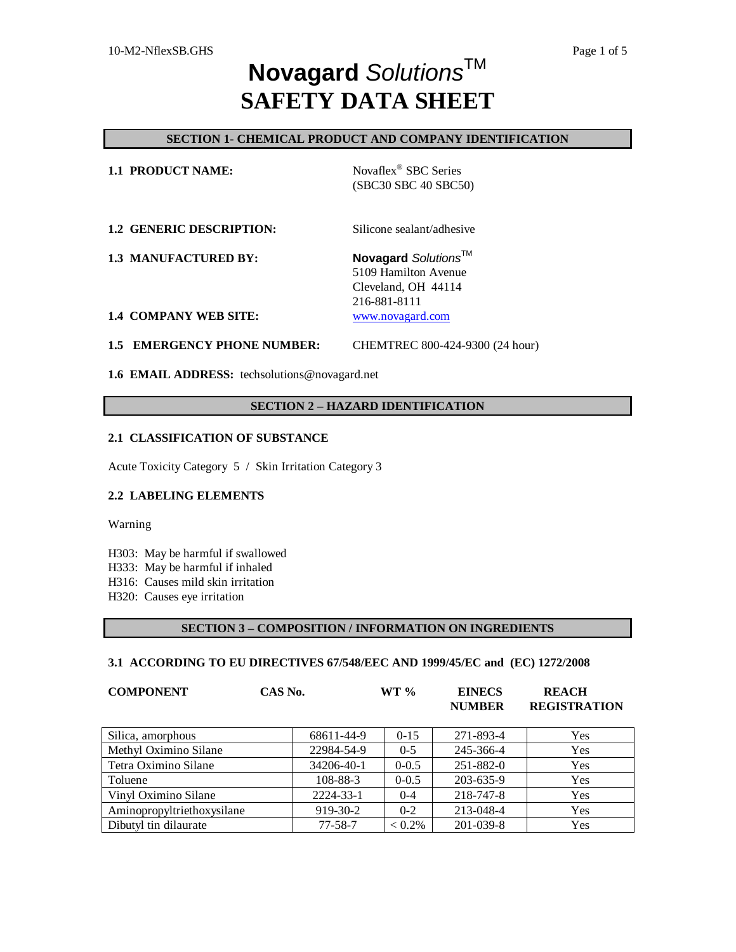## **SECTION 1- CHEMICAL PRODUCT AND COMPANY IDENTIFICATION**

| <b>1.1 PRODUCT NAME:</b>        | Novaflex <sup>®</sup> SBC Series<br>(SBC30 SBC 40 SBC50) |  |
|---------------------------------|----------------------------------------------------------|--|
| <b>1.2 GENERIC DESCRIPTION:</b> | Silicone sealant/adhesive                                |  |

**1.3 MANUFACTURED BY:** Novagard *Solutions*™ 5109 Hamilton Avenue Cleveland, OH 44114

216-881-8111

#### **1.4 COMPANY WEB SITE:** [www.novagard.com](http://www.novagard.com)

**1.5 EMERGENCY PHONE NUMBER:** CHEMTREC 800-424-9300 (24 hour)

**1.6 EMAIL ADDRESS:** techsolutions@novagard.net

## **SECTION 2 – HAZARD IDENTIFICATION**

### **2.1 CLASSIFICATION OF SUBSTANCE**

Acute Toxicity Category 5 / Skin Irritation Category 3

## **2.2 LABELING ELEMENTS**

Warning

H303: May be harmful if swallowed

- H333: May be harmful if inhaled
- H316: Causes mild skin irritation

H320: Causes eye irritation

## **SECTION 3 – COMPOSITION / INFORMATION ON INGREDIENTS**

#### **3.1 ACCORDING TO EU DIRECTIVES 67/548/EEC AND 1999/45/EC and (EC) 1272/2008**

| <b>COMPONENT</b>           | CAS No.       | $WT \%$   | <b>EINECS</b><br><b>NUMBER</b> | <b>REACH</b><br><b>REGISTRATION</b> |
|----------------------------|---------------|-----------|--------------------------------|-------------------------------------|
| Silica, amorphous          | 68611-44-9    | $0 - 15$  | 271-893-4                      | Yes                                 |
| Methyl Oximino Silane      | 22984-54-9    | $0 - 5$   | 245-366-4                      | Yes                                 |
| Tetra Oximino Silane       | 34206-40-1    | $0 - 0.5$ | 251-882-0                      | <b>Yes</b>                          |
| Toluene                    | 108-88-3      | $0 - 0.5$ | 203-635-9                      | Yes                                 |
| Vinyl Oximino Silane       | 2224-33-1     | $0 - 4$   | 218-747-8                      | Yes                                 |
| Aminopropyltriethoxysilane | 919-30-2      | $0 - 2$   | 213-048-4                      | Yes                                 |
| Dibutyl tin dilaurate      | $77 - 58 - 7$ | $< 0.2\%$ | 201-039-8                      | Yes                                 |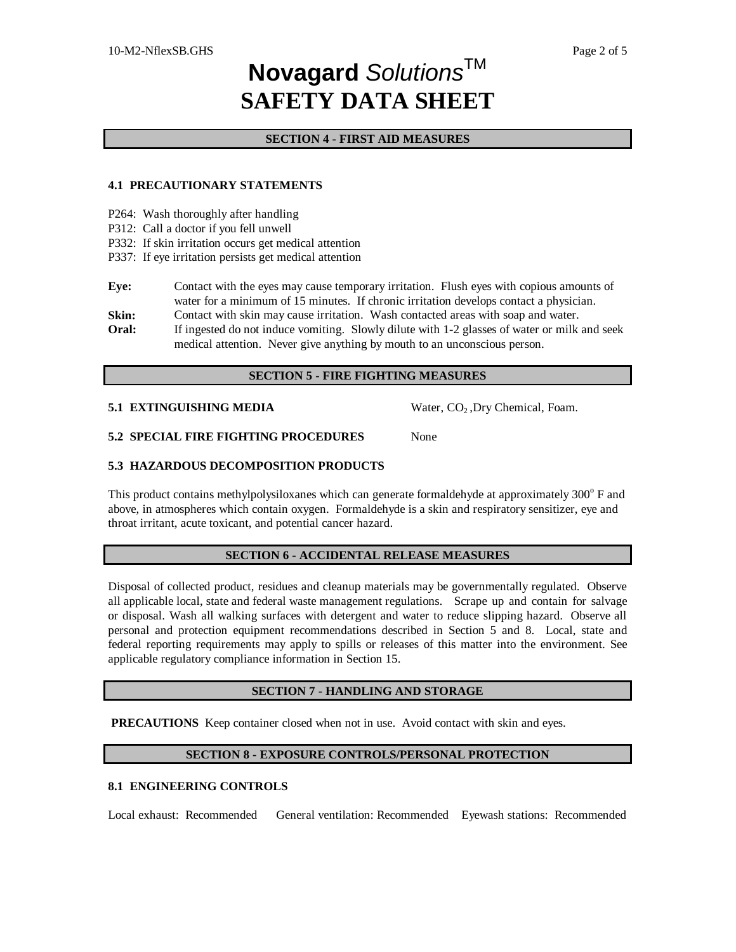### **SECTION 4 - FIRST AID MEASURES**

### **4.1 PRECAUTIONARY STATEMENTS**

- P264: Wash thoroughly after handling
- P312: Call a doctor if you fell unwell
- P332: If skin irritation occurs get medical attention
- P337: If eye irritation persists get medical attention

**Eye:** Contact with the eyes may cause temporary irritation. Flush eyes with copious amounts of water for a minimum of 15 minutes. If chronic irritation develops contact a physician.

**Skin:** Contact with skin may cause irritation. Wash contacted areas with soap and water.

**Oral:** If ingested do not induce vomiting. Slowly dilute with 1-2 glasses of water or milk and seek medical attention. Never give anything by mouth to an unconscious person.

#### **SECTION 5 - FIRE FIGHTING MEASURES**

**5.1 EXTINGUISHING MEDIA** Water, CO<sub>2</sub>, Dry Chemical, Foam.

**5.2 SPECIAL FIRE FIGHTING PROCEDURES** None

## **5.3 HAZARDOUS DECOMPOSITION PRODUCTS**

This product contains methylpolysiloxanes which can generate formaldehyde at approximately 300° F and above, in atmospheres which contain oxygen. Formaldehyde is a skin and respiratory sensitizer, eye and throat irritant, acute toxicant, and potential cancer hazard.

## **SECTION 6 - ACCIDENTAL RELEASE MEASURES**

Disposal of collected product, residues and cleanup materials may be governmentally regulated. Observe all applicable local, state and federal waste management regulations. Scrape up and contain for salvage or disposal. Wash all walking surfaces with detergent and water to reduce slipping hazard. Observe all personal and protection equipment recommendations described in Section 5 and 8. Local, state and federal reporting requirements may apply to spills or releases of this matter into the environment. See applicable regulatory compliance information in Section 15.

## **SECTION 7 - HANDLING AND STORAGE**

**PRECAUTIONS** Keep container closed when not in use. Avoid contact with skin and eyes.

## **SECTION 8 - EXPOSURE CONTROLS/PERSONAL PROTECTION**

## **8.1 ENGINEERING CONTROLS**

Local exhaust: Recommended General ventilation: Recommended Eyewash stations: Recommended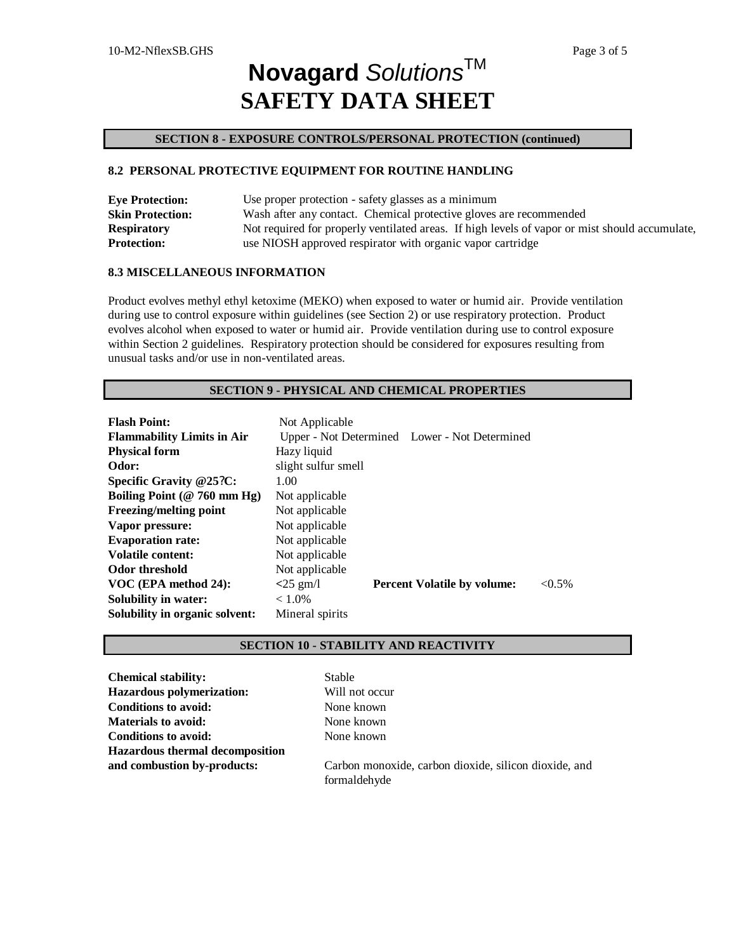#### **SECTION 8 - EXPOSURE CONTROLS/PERSONAL PROTECTION (continued)**

### **8.2 PERSONAL PROTECTIVE EQUIPMENT FOR ROUTINE HANDLING**

| <b>Eye Protection:</b>  | Use proper protection - safety glasses as a minimum                                            |  |  |
|-------------------------|------------------------------------------------------------------------------------------------|--|--|
| <b>Skin Protection:</b> | Wash after any contact. Chemical protective gloves are recommended                             |  |  |
| <b>Respiratory</b>      | Not required for properly ventilated areas. If high levels of vapor or mist should accumulate, |  |  |
| <b>Protection:</b>      | use NIOSH approved respirator with organic vapor cartridge                                     |  |  |

### **8.3 MISCELLANEOUS INFORMATION**

Product evolves methyl ethyl ketoxime (MEKO) when exposed to water or humid air. Provide ventilation during use to control exposure within guidelines (see Section 2) or use respiratory protection. Product evolves alcohol when exposed to water or humid air. Provide ventilation during use to control exposure within Section 2 guidelines. Respiratory protection should be considered for exposures resulting from unusual tasks and/or use in non-ventilated areas.

#### **SECTION 9 - PHYSICAL AND CHEMICAL PROPERTIES**

| <b>Flash Point:</b>               | Not Applicable      |                                               |           |
|-----------------------------------|---------------------|-----------------------------------------------|-----------|
| <b>Flammability Limits in Air</b> |                     | Upper - Not Determined Lower - Not Determined |           |
| <b>Physical form</b>              | Hazy liquid         |                                               |           |
| Odor:                             | slight sulfur smell |                                               |           |
| Specific Gravity $@25?C$ :        | 1.00                |                                               |           |
| Boiling Point ( $@ 760$ mm Hg)    | Not applicable      |                                               |           |
| Freezing/melting point            | Not applicable      |                                               |           |
| Vapor pressure:                   | Not applicable      |                                               |           |
| <b>Evaporation rate:</b>          | Not applicable      |                                               |           |
| <b>Volatile content:</b>          | Not applicable      |                                               |           |
| Odor threshold                    | Not applicable      |                                               |           |
| VOC (EPA method 24):              | $<$ 25 gm/l         | <b>Percent Volatile by volume:</b>            | $< 0.5\%$ |
| <b>Solubility in water:</b>       | $< 1.0\%$           |                                               |           |
| Solubility in organic solvent:    | Mineral spirits     |                                               |           |

#### **SECTION 10 - STABILITY AND REACTIVITY**

**Chemical stability:** Stable **Hazardous polymerization:** Will not occur **Conditions to avoid:** None known **Materials to avoid:** None known **Conditions to avoid:** None known **Hazardous thermal decomposition**

**and combustion by-products:** Carbon monoxide, carbon dioxide, silicon dioxide, and formaldehyde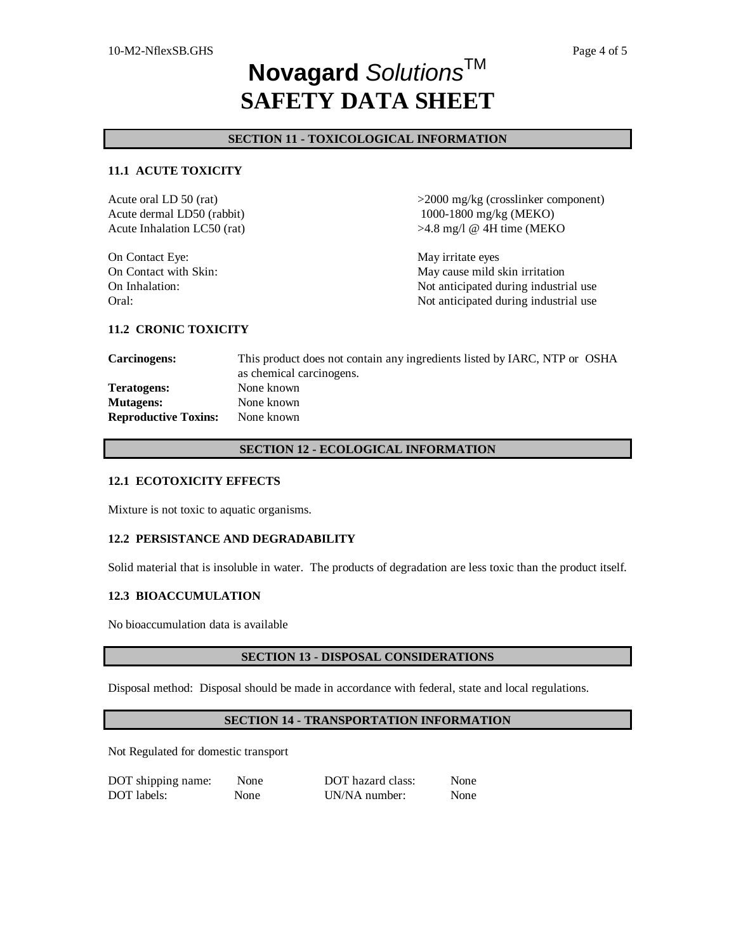### **SECTION 11 - TOXICOLOGICAL INFORMATION**

### **11.1 ACUTE TOXICITY**

Acute oral LD 50 (rat)  $>2000 \text{ mg/kg}$  (crosslinker component) Acute dermal LD50 (rabbit) Acute Inhalation LC50 (rat) 1000-1800 mg/kg (MEKO) >4.8 mg/l @ 4H time (MEKO On Contact Eye: May irritate eyes On Contact with Skin: May cause mild skin irritation On Inhalation: Not anticipated during industrial use Oral: Constant of the Constant of the Constant of the Not anticipated during industrial use

#### **11.2 CRONIC TOXICITY**

**Carcinogens:** This product does not contain any ingredients listed by IARC, NTP or OSHA as chemical carcinogens. **Teratogens:** None known **Mutagens:** None known **Reproductive Toxins:** None known

#### **SECTION 12 - ECOLOGICAL INFORMATION**

#### **12.1 ECOTOXICITY EFFECTS**

Mixture is not toxic to aquatic organisms.

#### **12.2 PERSISTANCE AND DEGRADABILITY**

Solid material that is insoluble in water. The products of degradation are less toxic than the product itself.

### **12.3 BIOACCUMULATION**

No bioaccumulation data is available

#### **SECTION 13 - DISPOSAL CONSIDERATIONS**

Disposal method: Disposal should be made in accordance with federal, state and local regulations.

### **SECTION 14 - TRANSPORTATION INFORMATION**

Not Regulated for domestic transport

| DOT shipping name: | None | DOT hazard class: | None |
|--------------------|------|-------------------|------|
| DOT labels:        | None | UN/NA number:     | None |